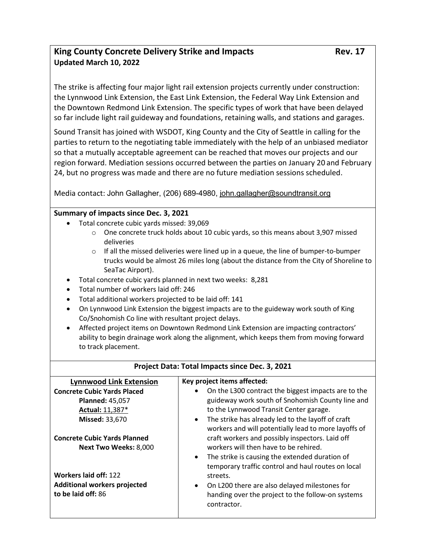## King County Concrete Delivery Strike and Impacts **Rev. 17** Rev. 17 **Updated March 10, 2022**

The strike is affecting four major light rail extension projects currently under construction: the Lynnwood Link Extension, the East Link Extension, the Federal Way Link Extension and the Downtown Redmond Link Extension. The specific types of work that have been delayed so far include light rail guideway and foundations, retaining walls, and stations and garages.

Sound Transit has joined with WSDOT, King County and the City of Seattle in calling for the parties to return to the negotiating table immediately with the help of an unbiased mediator so that a mutually acceptable agreement can be reached that moves our projects and our region forward. Mediation sessions occurred between the parties on January 20 and February 24, but no progress was made and there are no future mediation sessions scheduled.

Media contact: John Gallagher, (206) 689-4980, [john.gallagher@soundtransit.org](mailto:john.gallagher@soundtransit.org)

## **Summary of impacts since Dec. 3, 2021**

- Total concrete cubic yards missed: 39,069
	- $\circ$  One concrete truck holds about 10 cubic yards, so this means about 3,907 missed deliveries
	- $\circ$  If all the missed deliveries were lined up in a queue, the line of bumper-to-bumper trucks would be almost 26 miles long (about the distance from the City of Shoreline to SeaTac Airport).
- Total concrete cubic yards planned in next two weeks:  8,281
- Total number of workers laid off: 246
- Total additional workers projected to be laid off: 141
- On Lynnwood Link Extension the biggest impacts are to the guideway work south of King Co/Snohomish Co line with resultant project delays.
- Affected project items on Downtown Redmond Link Extension are impacting contractors' ability to begin drainage work along the alignment, which keeps them from moving forward to track placement.

| Project Data: Total Impacts since Dec. 3, 2021                                     |                                                                                                                                                                                                                                                                 |
|------------------------------------------------------------------------------------|-----------------------------------------------------------------------------------------------------------------------------------------------------------------------------------------------------------------------------------------------------------------|
| <b>Lynnwood Link Extension</b>                                                     | Key project items affected:                                                                                                                                                                                                                                     |
| <b>Concrete Cubic Yards Placed</b>                                                 | On the L300 contract the biggest impacts are to the                                                                                                                                                                                                             |
| <b>Planned: 45,057</b>                                                             | guideway work south of Snohomish County line and                                                                                                                                                                                                                |
| Actual: 11,387*                                                                    | to the Lynnwood Transit Center garage.                                                                                                                                                                                                                          |
| <b>Missed: 33,670</b>                                                              | The strike has already led to the layoff of craft<br>$\bullet$<br>workers and will potentially lead to more layoffs of                                                                                                                                          |
| <b>Concrete Cubic Yards Planned</b>                                                | craft workers and possibly inspectors. Laid off                                                                                                                                                                                                                 |
| Next Two Weeks: 8,000                                                              | workers will then have to be rehired.                                                                                                                                                                                                                           |
| Workers laid off: 122<br><b>Additional workers projected</b><br>to be laid off: 86 | The strike is causing the extended duration of<br>$\bullet$<br>temporary traffic control and haul routes on local<br>streets.<br>On L200 there are also delayed milestones for<br>$\bullet$<br>handing over the project to the follow-on systems<br>contractor. |